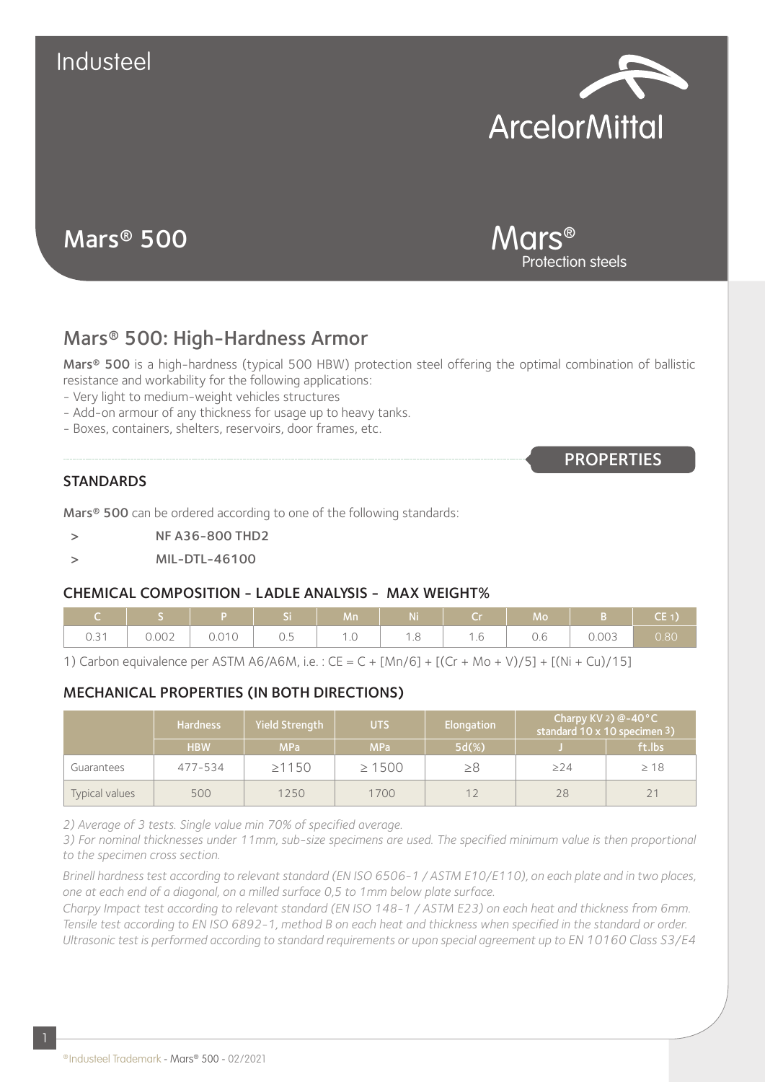



Mars® Protection steels

**PROPERTIES** 

# Mars® 500: High-Hardness Armor

Mars® 500 is a high-hardness (typical 500 HBW) protection steel offering the optimal combination of ballistic resistance and workability for the following applications:

- Very light to medium-weight vehicles structures
- Add-on armour of any thickness for usage up to heavy tanks.
- Boxes, containers, shelters, reservoirs, door frames, etc.

#### **STANDARDS**

Mars<sup>®</sup> 500 can be ordered according to one of the following standards:

- > NF A36-800 THD2
- > MIL-DTL-46100

#### CHEMICAL COMPOSITION - LADLE ANALYSIS - MAX WEIGHT%

|      |       |                                             |                                | Mn/                 | Ni     |        | Mc                                    |       | CE 1. |
|------|-------|---------------------------------------------|--------------------------------|---------------------|--------|--------|---------------------------------------|-------|-------|
| ∪.∪∣ | 0.002 | (1010)<br>$\cup$ . $\cup$ .<br>$\checkmark$ | -<br>$\sim$<br>$\cup$ . $\cup$ | $\cdot \cdot \circ$ | $\sim$ | $\sim$ | $\sqrt{2}$<br>$\backsim$ . $\backsim$ | 0.003 | 0.80  |

1) Carbon equivalence per ASTM A6/A6M, i.e. : CE = C + [Mn/6] + [(Cr + Mo + V)/5] + [(Ni + Cu)/15]

## MECHANICAL PROPERTIES (IN BOTH DIRECTIONS)

|                | <b>Hardness</b> | <b>Yield Strength</b> | UTS         | Elongation | Charpy KV 2) $@-40°C$<br>standard $10 \times 10$ specimen $3$ ) |           |
|----------------|-----------------|-----------------------|-------------|------------|-----------------------------------------------------------------|-----------|
|                | <b>HBW</b>      | <b>MPa</b>            | <b>MPa</b>  | $5d(\%)$   |                                                                 | ft.lbs    |
| Guarantees     | 477-534         | $\geq 1150$           | $\geq 1500$ | $\geq 8$   | $\geq$ 24                                                       | $\geq 18$ |
| Typical values | 500             | 1250                  | 1700        | 12         | 28                                                              | 21        |

*2) Average of 3 tests. Single value min 70% of specified average.*

3) For nominal thicknesses under 11mm, sub-size specimens are used. The specified minimum value is then proportional *to the specimen cross section.*

*Brinell hardness test according to relevant standard (EN ISO 6506-1 / ASTM E10/E110), on each plate and in two places, one at each end of a diagonal, on a milled surface 0,5 to 1mm below plate surface.*

*Charpy Impact test according to relevant standard (EN ISO 148-1 / ASTM E23) on each heat and thickness from 6mm. Tensile test according to EN ISO 6892-1, method B on each heat and thickness when specified in the standard or order. Ultrasonic test is performed according to standard requirements or upon special agreement up to EN 10160 Class S3/E4*